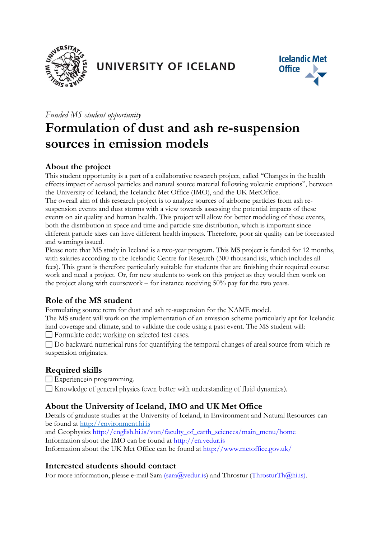

# UNIVERSITY OF ICELAND



#### *Funded MS student opportunity*

# **Formulation of dust and ash re-suspension sources in emission models**

# **About the project**

This student opportunity is a part of a collaborative research project, called "Changes in the health effects impact of aerosol particles and natural source material following volcanic eruptions", between the University of Iceland, the Icelandic Met Office (IMO), and the UK MetOffice.

The overall aim of this research project is to analyze sources of airborne particles from ash resuspension events and dust storms with a view towards assessing the potential impacts of these events on air quality and human health. This project will allow for better modeling of these events, both the distribution in space and time and particle size distribution, which is important since different particle sizes can have different health impacts. Therefore, poor air quality can be forecasted and warnings issued.

Please note that MS study in Iceland is a two-year program. This MS project is funded for 12 months, with salaries according to the Icelandic Centre for Research (300 thousand isk, which includes all fees). This grant is therefore particularly suitable for students that are finishing their required course work and need a project. Or, for new students to work on this project as they would then work on the project along with coursework – for instance receiving 50% pay for the two years.

# **Role of the MS student**

Formulating source term for dust and ash re-suspension for the NAME model.

The MS student will work on the implementation of an emission scheme particularly apt for Icelandic land coverage and climate, and to validate the code using a past event. The MS student will: □ Formulate code; working on selected test cases.

 $\Box$  Do backward numerical runs for quantifying the temporal changes of areal source from which resuspension originates.

#### **Required skills**

Experiencein programming.

 $\Box$  Knowledge of general physics (even better with understanding of fluid dynamics).

# **About the University of Iceland, IMO and UK Met Office**

Details of graduate studies at the University of Iceland, in Environment and Natural Resources can be found at [http://environment.hi.is](http://environment.hi.is/)

and Geophysics http://english.hi.is/von/faculty\_of\_earth\_sciences/main\_menu/home Information about the IMO can be found at http://en.vedur.is Information about the UK Met Office can be found at http://www.metoffice.gov.uk/

# **Interested students should contact**

For more information, please e-mail Sara (sara@vedur.is) and Throstur (ThrosturTh@hi.is).